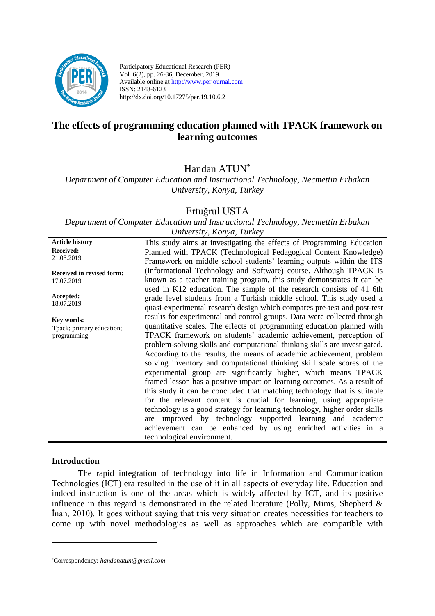

Participatory Educational Research (PER) Vol. 6(2), pp. 26-36, December, 2019 Available online at http://www.perjournal.com ISSN: 2148-6123 http://dx.doi.org/10.17275/per.19.10.6.2

# **The effects of programming education planned with TPACK framework on learning outcomes**

Handan ATUN\*

*Department of Computer Education and Instructional Technology, Necmettin Erbakan University, Konya, Turkey*

## Ertuğrul USTA

*Department of Computer Education and Instructional Technology, Necmettin Erbakan University, Konya, Turkey*

| <b>Article history</b>           | This study aims at investigating the effects of Programming Education      |
|----------------------------------|----------------------------------------------------------------------------|
| <b>Received:</b>                 | Planned with TPACK (Technological Pedagogical Content Knowledge)           |
| 21.05.2019                       | Framework on middle school students' learning outputs within the ITS       |
| <b>Received in revised form:</b> | (Informational Technology and Software) course. Although TPACK is          |
| 17.07.2019                       | known as a teacher training program, this study demonstrates it can be     |
|                                  | used in K12 education. The sample of the research consists of 41 6th       |
| Accepted:                        | grade level students from a Turkish middle school. This study used a       |
| 18.07.2019                       |                                                                            |
|                                  | quasi-experimental research design which compares pre-test and post-test   |
| Kev words:                       | results for experimental and control groups. Data were collected through   |
| Tpack; primary education;        | quantitative scales. The effects of programming education planned with     |
| programming                      | TPACK framework on students' academic achievement, perception of           |
|                                  | problem-solving skills and computational thinking skills are investigated. |
|                                  | According to the results, the means of academic achievement, problem       |
|                                  | solving inventory and computational thinking skill scale scores of the     |
|                                  | experimental group are significantly higher, which means TPACK             |
|                                  | framed lesson has a positive impact on learning outcomes. As a result of   |
|                                  | this study it can be concluded that matching technology that is suitable   |
|                                  | for the relevant content is crucial for learning, using appropriate        |
|                                  | technology is a good strategy for learning technology, higher order skills |
|                                  | are improved by technology supported learning and academic                 |
|                                  | achievement can be enhanced by using enriched activities in a              |
|                                  | technological environment.                                                 |
|                                  |                                                                            |

#### **Introduction**

<u>.</u>

The rapid integration of technology into life in Information and Communication Technologies (ICT) era resulted in the use of it in all aspects of everyday life. Education and indeed instruction is one of the areas which is widely affected by ICT, and its positive influence in this regard is demonstrated in the related literature (Polly, Mims, Shepherd  $\&$ İnan, 2010). It goes without saying that this very situation creates necessities for teachers to come up with novel methodologies as well as approaches which are compatible with

*<sup>\*</sup>*Correspondency: *[handanatun@gmail.com](mailto:handanatun@gmail.com)*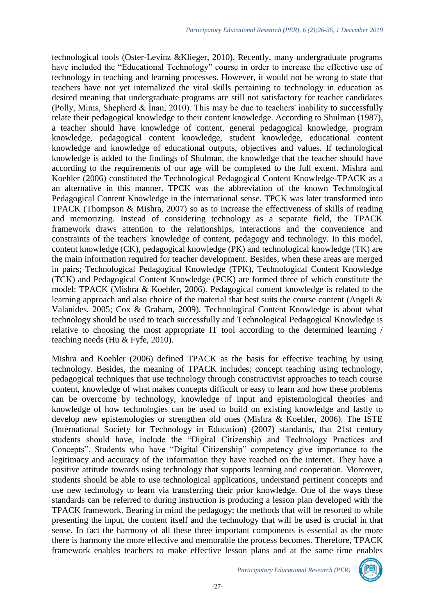technological tools (Oster-Levinz &Klieger, 2010). Recently, many undergraduate programs have included the "Educational Technology" course in order to increase the effective use of technology in teaching and learning processes. However, it would not be wrong to state that teachers have not yet internalized the vital skills pertaining to technology in education as desired meaning that undergraduate programs are still not satisfactory for teacher candidates (Polly, Mims, Shepherd & İnan, 2010). This may be due to teachers' inability to successfully relate their pedagogical knowledge to their content knowledge. According to Shulman (1987), a teacher should have knowledge of content, general pedagogical knowledge, program knowledge, pedagogical content knowledge, student knowledge, educational content knowledge and knowledge of educational outputs, objectives and values. If technological knowledge is added to the findings of Shulman, the knowledge that the teacher should have according to the requirements of our age will be completed to the full extent. Mishra and Koehler (2006) constituted the Technological Pedagogical Content Knowledge-TPACK as a an alternative in this manner. TPCK was the abbreviation of the known Technological Pedagogical Content Knowledge in the international sense. TPCK was later transformed into TPACK (Thompson & Mishra, 2007) so as to increase the effectiveness of skills of reading and memorizing. Instead of considering technology as a separate field, the TPACK framework draws attention to the relationships, interactions and the convenience and constraints of the teachers' knowledge of content, pedagogy and technology. In this model, content knowledge (CK), pedagogical knowledge (PK) and technological knowledge (TK) are the main information required for teacher development. Besides, when these areas are merged in pairs; Technological Pedagogical Knowledge (TPK), Technological Content Knowledge (TCK) and Pedagogical Content Knowledge (PCK) are formed three of which constitute the model: TPACK (Mishra & Koehler, 2006). Pedagogical content knowledge is related to the learning approach and also choice of the material that best suits the course content (Angeli & Valanides, 2005; Cox & Graham, 2009). Technological Content Knowledge is about what technology should be used to teach successfully and Technological Pedagogical Knowledge is relative to choosing the most appropriate IT tool according to the determined learning / teaching needs (Hu & Fyfe, 2010).

Mishra and Koehler (2006) defined TPACK as the basis for effective teaching by using technology. Besides, the meaning of TPACK includes; concept teaching using technology, pedagogical techniques that use technology through constructivist approaches to teach course content, knowledge of what makes concepts difficult or easy to learn and how these problems can be overcome by technology, knowledge of input and epistemological theories and knowledge of how technologies can be used to build on existing knowledge and lastly to develop new epistemologies or strengthen old ones (Mishra & Koehler, 2006). The ISTE (International Society for Technology in Education) (2007) standards, that 21st century students should have, include the "Digital Citizenship and Technology Practices and Concepts". Students who have "Digital Citizenship" competency give importance to the legitimacy and accuracy of the information they have reached on the internet. They have a positive attitude towards using technology that supports learning and cooperation. Moreover, students should be able to use technological applications, understand pertinent concepts and use new technology to learn via transferring their prior knowledge. One of the ways these standards can be referred to during instruction is producing a lesson plan developed with the TPACK framework. Bearing in mind the pedagogy; the methods that will be resorted to while presenting the input, the content itself and the technology that will be used is crucial in that sense. In fact the harmony of all these three important components is essential as the more there is harmony the more effective and memorable the process becomes. Therefore, TPACK framework enables teachers to make effective lesson plans and at the same time enables

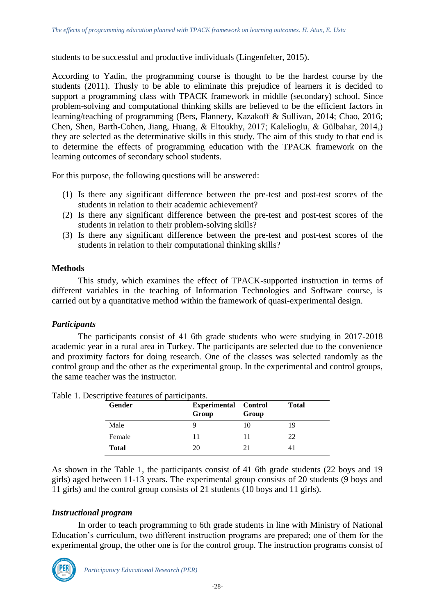students to be successful and productive individuals (Lingenfelter, 2015).

According to Yadin, the programming course is thought to be the hardest course by the students (2011). Thusly to be able to eliminate this prejudice of learners it is decided to support a programming class with TPACK framework in middle (secondary) school. Since problem-solving and computational thinking skills are believed to be the efficient factors in learning/teaching of programming (Bers, Flannery, Kazakoff & Sullivan, 2014; Chao, 2016; Chen, Shen, Barth-Cohen, Jiang, Huang, & Eltoukhy, 2017; Kalelioglu, & Gülbahar, 2014,) they are selected as the determinative skills in this study. The aim of this study to that end is to determine the effects of programming education with the TPACK framework on the learning outcomes of secondary school students.

For this purpose, the following questions will be answered:

- (1) Is there any significant difference between the pre-test and post-test scores of the students in relation to their academic achievement?
- (2) Is there any significant difference between the pre-test and post-test scores of the students in relation to their problem-solving skills?
- (3) Is there any significant difference between the pre-test and post-test scores of the students in relation to their computational thinking skills?

#### **Methods**

This study, which examines the effect of TPACK-supported instruction in terms of different variables in the teaching of Information Technologies and Software course, is carried out by a quantitative method within the framework of quasi-experimental design.

## *Participants*

The participants consist of 41 6th grade students who were studying in 2017-2018 academic year in a rural area in Turkey. The participants are selected due to the convenience and proximity factors for doing research. One of the classes was selected randomly as the control group and the other as the experimental group. In the experimental and control groups, the same teacher was the instructor.

| <b>Gender</b> | <b>Experimental Control</b><br>Group | Group | <b>Total</b> |
|---------------|--------------------------------------|-------|--------------|
| Male          |                                      | 10    | 19           |
| Female        |                                      | 11    | 22           |
| <b>Total</b>  | 20                                   | 21    | 41           |

Table 1. Descriptive features of participants.

As shown in the Table 1, the participants consist of 41 6th grade students (22 boys and 19 girls) aged between 11-13 years. The experimental group consists of 20 students (9 boys and 11 girls) and the control group consists of 21 students (10 boys and 11 girls).

#### *Instructional program*

In order to teach programming to 6th grade students in line with Ministry of National Education's curriculum, two different instruction programs are prepared; one of them for the experimental group, the other one is for the control group. The instruction programs consist of

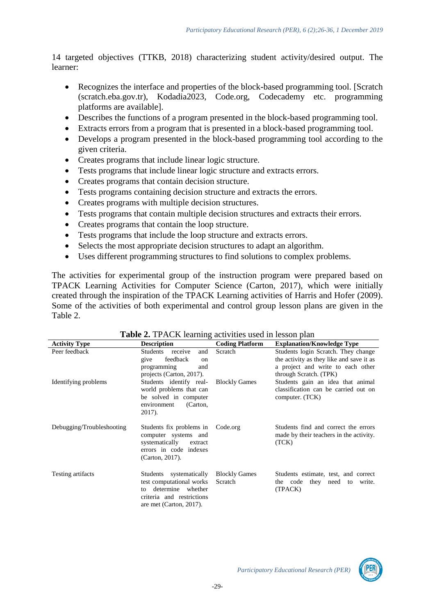14 targeted objectives (TTKB, 2018) characterizing student activity/desired output. The learner:

- Recognizes the interface and properties of the block-based programming tool. [Scratch (scratch.eba.gov.tr), Kodadia2023, Code.org, Codecademy etc. programming platforms are available].
- Describes the functions of a program presented in the block-based programming tool.
- Extracts errors from a program that is presented in a block-based programming tool.
- Develops a program presented in the block-based programming tool according to the given criteria.
- Creates programs that include linear logic structure.
- Tests programs that include linear logic structure and extracts errors.
- Creates programs that contain decision structure.
- Tests programs containing decision structure and extracts the errors.
- Creates programs with multiple decision structures.
- Tests programs that contain multiple decision structures and extracts their errors.
- Creates programs that contain the loop structure.
- Tests programs that include the loop structure and extracts errors.
- Selects the most appropriate decision structures to adapt an algorithm.
- Uses different programming structures to find solutions to complex problems.

The activities for experimental group of the instruction program were prepared based on TPACK Learning Activities for Computer Science (Carton, 2017), which were initially created through the inspiration of the TPACK Learning activities of Harris and Hofer (2009). Some of the activities of both experimental and control group lesson plans are given in the Table 2.

| <b>Activity Type</b>      | <b>Description</b>                                                                                                                     | <b>Coding Platform</b>          | <b>Explanation/Knowledge Type</b>                                                                                                              |
|---------------------------|----------------------------------------------------------------------------------------------------------------------------------------|---------------------------------|------------------------------------------------------------------------------------------------------------------------------------------------|
| Peer feedback             | Students<br>and<br>receive<br>feedback<br>give<br>on<br>programming<br>and<br>projects (Carton, 2017).                                 | Scratch                         | Students login Scratch. They change<br>the activity as they like and save it as<br>a project and write to each other<br>through Scratch. (TPK) |
| Identifying problems      | Students identify real-<br>world problems that can<br>be solved in computer<br>(Carton,<br>environment<br>2017).                       | <b>Blockly Games</b>            | Students gain an idea that animal<br>classification can be carried out on<br>computer. (TCK)                                                   |
| Debugging/Troubleshooting | Students fix problems in<br>computer systems and<br>systematically<br>extract<br>errors in code indexes<br>(Carton, 2017).             | Code.org                        | Students find and correct the errors<br>made by their teachers in the activity.<br>(TCK)                                                       |
| Testing artifacts         | Students systematically<br>test computational works<br>determine whether<br>to<br>criteria and restrictions<br>are met (Carton, 2017). | <b>Blockly Games</b><br>Scratch | Students estimate, test, and correct<br>the code they need to<br>write.<br>(TPACK)                                                             |

#### **Table 2.** TPACK learning activities used in lesson plan

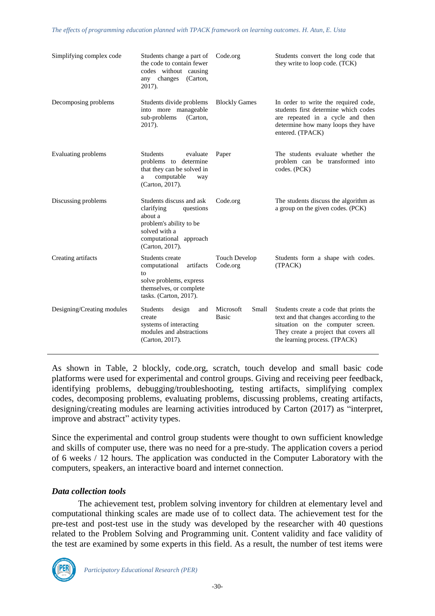| Simplifying complex code   | Students change a part of<br>the code to contain fewer<br>codes without causing<br>any changes<br>(Carton,<br>2017).                                    | Code.org                           | Students convert the long code that<br>they write to loop code. (TCK)                                                                                                                           |
|----------------------------|---------------------------------------------------------------------------------------------------------------------------------------------------------|------------------------------------|-------------------------------------------------------------------------------------------------------------------------------------------------------------------------------------------------|
| Decomposing problems       | Students divide problems<br>into more manageable<br>sub-problems<br>(Carton,<br>2017).                                                                  | <b>Blockly Games</b>               | In order to write the required code,<br>students first determine which codes<br>are repeated in a cycle and then<br>determine how many loops they have<br>entered. (TPACK)                      |
| Evaluating problems        | <b>Students</b><br>evaluate<br>problems to determine<br>that they can be solved in<br>computable<br>a<br>way<br>(Carton, 2017).                         | Paper                              | The students evaluate whether the<br>problem can be transformed into<br>codes. (PCK)                                                                                                            |
| Discussing problems        | Students discuss and ask<br>clarifying<br>questions<br>about a<br>problem's ability to be<br>solved with a<br>computational approach<br>(Carton, 2017). | Code.org                           | The students discuss the algorithm as<br>a group on the given codes. (PCK)                                                                                                                      |
| Creating artifacts         | Students create<br>computational<br>artifacts<br>to<br>solve problems, express<br>themselves, or complete<br>tasks. (Carton, 2017).                     | <b>Touch Develop</b><br>Code.org   | Students form a shape with codes.<br>(TPACK)                                                                                                                                                    |
| Designing/Creating modules | <b>Students</b><br>design<br>and<br>create<br>systems of interacting<br>modules and abstractions<br>(Carton, 2017).                                     | Microsoft<br>Small<br><b>Basic</b> | Students create a code that prints the<br>text and that changes according to the<br>situation on the computer screen.<br>They create a project that covers all<br>the learning process. (TPACK) |

As shown in Table, 2 blockly, code.org, scratch, touch develop and small basic code platforms were used for experimental and control groups. Giving and receiving peer feedback, identifying problems, debugging/troubleshooting, testing artifacts, simplifying complex codes, decomposing problems, evaluating problems, discussing problems, creating artifacts, designing/creating modules are learning activities introduced by Carton (2017) as "interpret, improve and abstract" activity types.

Since the experimental and control group students were thought to own sufficient knowledge and skills of computer use, there was no need for a pre-study. The application covers a period of 6 weeks / 12 hours. The application was conducted in the Computer Laboratory with the computers, speakers, an interactive board and internet connection.

## *Data collection tools*

The achievement test, problem solving inventory for children at elementary level and computational thinking scales are made use of to collect data. The achievement test for the pre-test and post-test use in the study was developed by the researcher with 40 questions related to the Problem Solving and Programming unit. Content validity and face validity of the test are examined by some experts in this field. As a result, the number of test items were

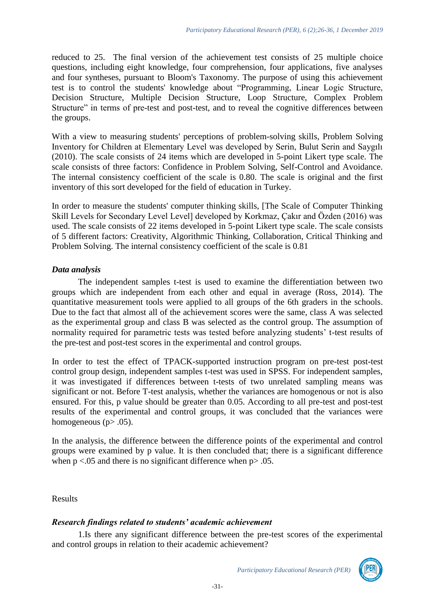reduced to 25. The final version of the achievement test consists of 25 multiple choice questions, including eight knowledge, four comprehension, four applications, five analyses and four syntheses, pursuant to Bloom's Taxonomy. The purpose of using this achievement test is to control the students' knowledge about "Programming, Linear Logic Structure, Decision Structure, Multiple Decision Structure, Loop Structure, Complex Problem Structure" in terms of pre-test and post-test, and to reveal the cognitive differences between the groups.

With a view to measuring students' perceptions of problem-solving skills, Problem Solving Inventory for Children at Elementary Level was developed by Serin, Bulut Serin and Saygılı (2010). The scale consists of 24 items which are developed in 5-point Likert type scale. The scale consists of three factors: Confidence in Problem Solving, Self-Control and Avoidance. The internal consistency coefficient of the scale is 0.80. The scale is original and the first inventory of this sort developed for the field of education in Turkey.

In order to measure the students' computer thinking skills, [The Scale of Computer Thinking Skill Levels for Secondary Level Level] developed by Korkmaz, Çakır and Özden (2016) was used. The scale consists of 22 items developed in 5-point Likert type scale. The scale consists of 5 different factors: Creativity, Algorithmic Thinking, Collaboration, Critical Thinking and Problem Solving. The internal consistency coefficient of the scale is 0.81

## *Data analysis*

The independent samples t-test is used to examine the differentiation between two groups which are independent from each other and equal in average (Ross, 2014). The quantitative measurement tools were applied to all groups of the 6th graders in the schools. Due to the fact that almost all of the achievement scores were the same, class A was selected as the experimental group and class B was selected as the control group. The assumption of normality required for parametric tests was tested before analyzing students' t-test results of the pre-test and post-test scores in the experimental and control groups.

In order to test the effect of TPACK-supported instruction program on pre-test post-test control group design, independent samples t-test was used in SPSS. For independent samples, it was investigated if differences between t-tests of two unrelated sampling means was significant or not. Before T-test analysis, whether the variances are homogenous or not is also ensured. For this, p value should be greater than 0.05. According to all pre-test and post-test results of the experimental and control groups, it was concluded that the variances were homogeneous ( $p$  $>$  .05).

In the analysis, the difference between the difference points of the experimental and control groups were examined by p value. It is then concluded that; there is a significant difference when  $p < .05$  and there is no significant difference when  $p > .05$ .

Results

## *Research findings related to students' academic achievement*

1.Is there any significant difference between the pre-test scores of the experimental and control groups in relation to their academic achievement?



*Participatory Educational Research (PER)*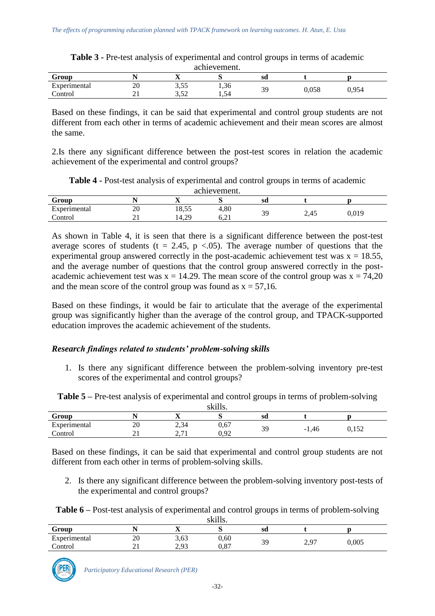| acmevement.  |          |             |            |     |       |       |  |  |
|--------------|----------|-------------|------------|-----|-------|-------|--|--|
| Group        |          | -43         |            | sd  |       |       |  |  |
| Experimental | n<br>ZU  | <u>J.JJ</u> | 1,36       | 30  | 0,058 | 0.954 |  |  |
| `ontrol      | <u>_</u> | ר בי<br>ے ب | 54<br>⊥…∪¬ | ر ب |       |       |  |  |

**Table 3 -** Pre-test analysis of experimental and control groups in terms of academic achievement.

Based on these findings, it can be said that experimental and control group students are not different from each other in terms of academic achievement and their mean scores are almost the same.

2.Is there any significant difference between the post-test scores in relation the academic achievement of the experimental and control groups?

**Table 4 -** Post-test analysis of experimental and control groups in terms of academic

| achievement. |            |       |      |    |      |       |  |  |
|--------------|------------|-------|------|----|------|-------|--|--|
| Group        |            | ∡∍    | ື    | sd |      |       |  |  |
| Experimental | 20         | 18,55 | 4,80 |    |      |       |  |  |
| control_     | <u>ы</u> . | 14.29 | 6.21 | 39 | 2,45 | 0,019 |  |  |

As shown in Table 4, it is seen that there is a significant difference between the post-test average scores of students (t = 2.45, p < 0.05). The average number of questions that the experimental group answered correctly in the post-academic achievement test was  $x = 18.55$ , and the average number of questions that the control group answered correctly in the postacademic achievement test was  $x = 14.29$ . The mean score of the control group was  $x = 74.20$ and the mean score of the control group was found as  $x = 57,16$ .

Based on these findings, it would be fair to articulate that the average of the experimental group was significantly higher than the average of the control group, and TPACK-supported education improves the academic achievement of the students.

## *Research findings related to students' problem-solving skills*

1. Is there any significant difference between the problem-solving inventory pre-test scores of the experimental and control groups?

**Table 5 –** Pre-test analysis of experimental and control groups in terms of problem-solving

| 1.111<br>SK11IS. |          |                                                |              |    |         |       |  |
|------------------|----------|------------------------------------------------|--------------|----|---------|-------|--|
| Group            |          | $\overline{\phantom{a}}$                       | ັ            | sd |         |       |  |
| Experimental     | ንበ<br>ZU | 2.34<br>−رہ∠                                   | 0,67         |    |         | 52    |  |
| Control          | <u>_</u> | $\sim$ $\sim$ 1<br>$\sim$ $\sim$ $\sim$ $\sim$ | 0.92<br>いっプム | 39 | $-1,46$ | 0.132 |  |

Based on these findings, it can be said that experimental and control group students are not different from each other in terms of problem-solving skills.

2. Is there any significant difference between the problem-solving inventory post-tests of the experimental and control groups?

|        | Table 6 – Post-test analysis of experimental and control groups in terms of problem-solving |
|--------|---------------------------------------------------------------------------------------------|
| ەك 11. |                                                                                             |

| skills.      |          |              |      |    |         |       |  |
|--------------|----------|--------------|------|----|---------|-------|--|
| Group        |          | 43           |      | sd |         |       |  |
| Experimental | 20       | 3,63         | 0,60 | 39 | ን 97    | 0,005 |  |
| Control      | <u>_</u> | 2. Q2<br>ريد | 0,87 |    | $\sim,$ |       |  |

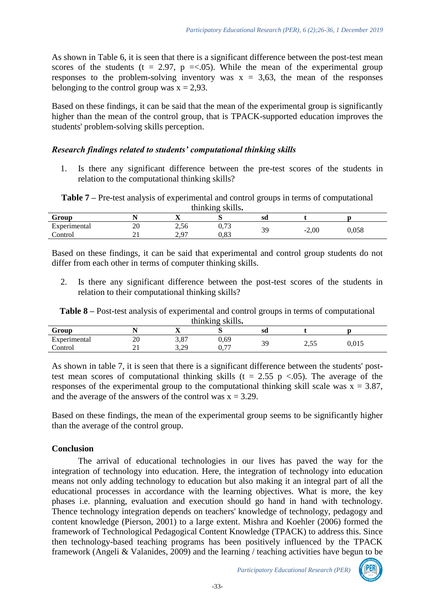As shown in Table 6, it is seen that there is a significant difference between the post-test mean scores of the students (t = 2.97, p = <.05). While the mean of the experimental group responses to the problem-solving inventory was  $x = 3.63$ , the mean of the responses belonging to the control group was  $x = 2.93$ .

Based on these findings, it can be said that the mean of the experimental group is significantly higher than the mean of the control group, that is TPACK-supported education improves the students' problem-solving skills perception.

#### *Research findings related to students' computational thinking skills*

1. Is there any significant difference between the pre-test scores of the students in relation to the computational thinking skills?

**Table 7 –** Pre-test analysis of experimental and control groups in terms of computational thinking skills**.**

| Group        |                    | $-$<br>$\overline{\phantom{a}}$ |               | sd  |            |       |  |
|--------------|--------------------|---------------------------------|---------------|-----|------------|-------|--|
| Experimental | $\sim$<br>ZU<br>__ | $-7$<br>بالوريد                 | 0.72<br>0, 10 | 30  |            |       |  |
| `ontroi      | <b>A</b>           | $\sim$<br>روڪ                   | റ റെ<br>v.o.  | ر ب | -2,00<br>- | 0,058 |  |

Based on these findings, it can be said that experimental and control group students do not differ from each other in terms of computer thinking skills.

2. Is there any significant difference between the post-test scores of the students in relation to their computational thinking skills?

**Table 8 –** Post-test analysis of experimental and control groups in terms of computational thinking skills**.**

| $\text{minimize}$ $\text{min.}$ |          |                    |                    |     |               |       |  |
|---------------------------------|----------|--------------------|--------------------|-----|---------------|-------|--|
| Group                           |          | --<br>-45          |                    | sd  |               |       |  |
| Experimental                    | ററ<br>∠∪ | റ റെ<br><b>J,O</b> | 0,69               | 3q  | $\sim$ $\sim$ |       |  |
| Control                         | --       | 2 2 Q<br>رىدە      | $\sim$ $\pi$<br>v. | ر ب | ر ر. ب        | 0.015 |  |

As shown in table 7, it is seen that there is a significant difference between the students' posttest mean scores of computational thinking skills ( $t = 2.55$  p <.05). The average of the responses of the experimental group to the computational thinking skill scale was  $x = 3.87$ , and the average of the answers of the control was  $x = 3.29$ .

Based on these findings, the mean of the experimental group seems to be significantly higher than the average of the control group.

## **Conclusion**

The arrival of educational technologies in our lives has paved the way for the integration of technology into education. Here, the integration of technology into education means not only adding technology to education but also making it an integral part of all the educational processes in accordance with the learning objectives. What is more, the key phases i.e. planning, evaluation and execution should go hand in hand with technology. Thence technology integration depends on teachers' knowledge of technology, pedagogy and content knowledge (Pierson, 2001) to a large extent. Mishra and Koehler (2006) formed the framework of Technological Pedagogical Content Knowledge (TPACK) to address this. Since then technology-based teaching programs has been positively influenced by the TPACK framework (Angeli & Valanides, 2009) and the learning / teaching activities have begun to be

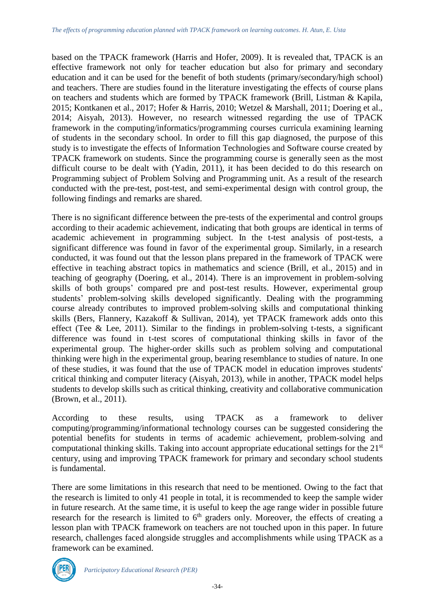based on the TPACK framework (Harris and Hofer, 2009). It is revealed that, TPACK is an effective framework not only for teacher education but also for primary and secondary education and it can be used for the benefit of both students (primary/secondary/high school) and teachers. There are studies found in the literature investigating the effects of course plans on teachers and students which are formed by TPACK framework (Brill, Listman & Kapila, 2015; Kontkanen et al., 2017; Hofer & Harris, 2010; Wetzel & Marshall, 2011; Doering et al., 2014; Aisyah, 2013). However, no research witnessed regarding the use of TPACK framework in the computing/informatics/programming courses curricula examining learning of students in the secondary school. In order to fill this gap diagnosed, the purpose of this study is to investigate the effects of Information Technologies and Software course created by TPACK framework on students. Since the programming course is generally seen as the most difficult course to be dealt with (Yadin, 2011), it has been decided to do this research on Programming subject of Problem Solving and Programming unit. As a result of the research conducted with the pre-test, post-test, and semi-experimental design with control group, the following findings and remarks are shared.

There is no significant difference between the pre-tests of the experimental and control groups according to their academic achievement, indicating that both groups are identical in terms of academic achievement in programming subject. In the t-test analysis of post-tests, a significant difference was found in favor of the experimental group. Similarly, in a research conducted, it was found out that the lesson plans prepared in the framework of TPACK were effective in teaching abstract topics in mathematics and science (Brill, et al., 2015) and in teaching of geography (Doering, et al., 2014). There is an improvement in problem-solving skills of both groups' compared pre and post-test results. However, experimental group students' problem-solving skills developed significantly. Dealing with the programming course already contributes to improved problem-solving skills and computational thinking skills (Bers, Flannery, Kazakoff & Sullivan, 2014), yet TPACK framework adds onto this effect (Tee & Lee, 2011). Similar to the findings in problem-solving t-tests, a significant difference was found in t-test scores of computational thinking skills in favor of the experimental group. The higher-order skills such as problem solving and computational thinking were high in the experimental group, bearing resemblance to studies of nature. In one of these studies, it was found that the use of TPACK model in education improves students' critical thinking and computer literacy (Aisyah, 2013), while in another, TPACK model helps students to develop skills such as critical thinking, creativity and collaborative communication (Brown, et al., 2011).

According to these results, using TPACK as a framework to deliver computing/programming/informational technology courses can be suggested considering the potential benefits for students in terms of academic achievement, problem-solving and computational thinking skills. Taking into account appropriate educational settings for the 21st century, using and improving TPACK framework for primary and secondary school students is fundamental.

There are some limitations in this research that need to be mentioned. Owing to the fact that the research is limited to only 41 people in total, it is recommended to keep the sample wider in future research. At the same time, it is useful to keep the age range wider in possible future research for the research is limited to  $6<sup>th</sup>$  graders only. Moreover, the effects of creating a lesson plan with TPACK framework on teachers are not touched upon in this paper. In future research, challenges faced alongside struggles and accomplishments while using TPACK as a framework can be examined.

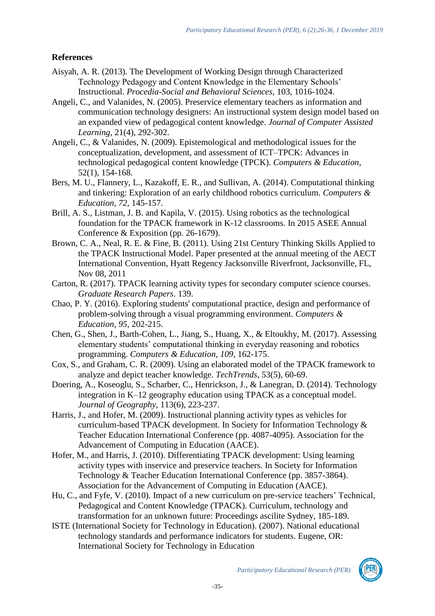# **References**

- Aisyah, A. R. (2013). The Development of Working Design through Characterized Technology Pedagogy and Content Knowledge in the Elementary Schools' Instructional. *Procedia-Social and Behavioral Sciences,* 103, 1016-1024.
- Angeli, C., and Valanides, N. (2005). Preservice elementary teachers as information and communication technology designers: An instructional system design model based on an expanded view of pedagogical content knowledge. *Journal of Computer Assisted Learning*, 21(4), 292-302.
- Angeli, C., & Valanides, N. (2009). Epistemological and methodological issues for the conceptualization, development, and assessment of ICT–TPCK: Advances in technological pedagogical content knowledge (TPCK). *Computers & Education*, 52(1), 154-168.
- Bers, M. U., Flannery, L., Kazakoff, E. R., and Sullivan, A. (2014). Computational thinking and tinkering: Exploration of an early childhood robotics curriculum. *Computers & Education*, *72*, 145-157.
- Brill, A. S., Listman, J. B. and Kapila, V. (2015). Using robotics as the technological foundation for the TPACK framework in K-12 classrooms. In 2015 ASEE Annual Conference & Exposition (pp. 26-1679).
- Brown, C. A., Neal, R. E. & Fine, B. (2011). Using 21st Century Thinking Skills Applied to the TPACK Instructional Model. Paper presented at the annual meeting of the AECT International Convention, Hyatt Regency Jacksonville Riverfront, Jacksonville, FL, Nov 08, 2011
- Carton, R. (2017). TPACK learning activity types for secondary computer science courses. *Graduate Research Papers*. 139.
- Chao, P. Y. (2016). Exploring students' computational practice, design and performance of problem-solving through a visual programming environment. *Computers & Education*, *95*, 202-215.
- Chen, G., Shen, J., Barth-Cohen, L., Jiang, S., Huang, X., & Eltoukhy, M. (2017). Assessing elementary students' computational thinking in everyday reasoning and robotics programming. *Computers & Education*, *109*, 162-175.
- Cox, S., and Graham, C. R. (2009). Using an elaborated model of the TPACK framework to analyze and depict teacher knowledge. *TechTrends*, 53(5), 60-69.
- Doering, A., Koseoglu, S., Scharber, C., Henrickson, J., & Lanegran, D. (2014). Technology integration in K–12 geography education using TPACK as a conceptual model. *Journal of Geography*, 113(6), 223-237.
- Harris, J., and Hofer, M. (2009). Instructional planning activity types as vehicles for curriculum-based TPACK development. In Society for Information Technology & Teacher Education International Conference (pp. 4087-4095). Association for the Advancement of Computing in Education (AACE).
- Hofer, M., and Harris, J. (2010). Differentiating TPACK development: Using learning activity types with inservice and preservice teachers. In Society for Information Technology & Teacher Education International Conference (pp. 3857-3864). Association for the Advancement of Computing in Education (AACE).
- Hu, C., and Fyfe, V. (2010). Impact of a new curriculum on pre-service teachers' Technical, Pedagogical and Content Knowledge (TPACK). Curriculum, technology and transformation for an unknown future: Proceedings ascilite Sydney, 185-189.
- ISTE (International Society for Technology in Education). (2007). National educational technology standards and performance indicators for students. Eugene, OR: International Society for Technology in Education